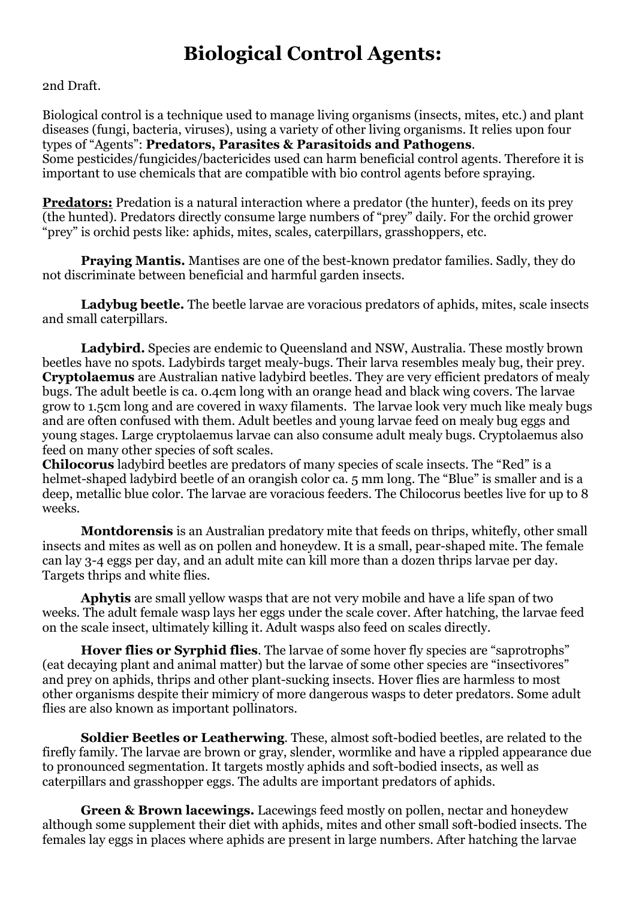## **Biological Control Agents:**

2nd Draft.

Biological control is a technique used to manage living organisms (insects, mites, etc.) and plant diseases (fungi, bacteria, viruses), using a variety of other living organisms. It relies upon four types of "Agents": **Predators, Parasites & Parasitoids and Pathogens**. Some pesticides/fungicides/bactericides used can harm beneficial control agents. Therefore it is important to use chemicals that are compatible with bio control agents before spraying.

**Predators:** Predation is a natural interaction where a predator (the hunter), feeds on its prey (the hunted). Predators directly consume large numbers of "prey" daily. For the orchid grower "prey" is orchid pests like: aphids, mites, scales, caterpillars, grasshoppers, etc.

**Praying Mantis.** Mantises are one of the best-known predator families. Sadly, they do not discriminate between beneficial and harmful garden insects.

**Ladybug beetle.** The beetle larvae are voracious predators of aphids, mites, scale insects and small caterpillars.

Ladybird. Species are endemic to Oueensland and NSW, Australia. These mostly brown beetles have no spots. Ladybirds target mealy-bugs. Their larva resembles mealy bug, their prey. **Cryptolaemus** are Australian native ladybird beetles. They are very efficient predators of mealy bugs. The adult beetle is ca. 0.4cm long with an orange head and black wing covers. The larvae grow to 1.5cm long and are covered in waxy filaments. The larvae look very much like mealy bugs and are often confused with them. Adult beetles and young larvae feed on mealy bug eggs and young stages. Large cryptolaemus larvae can also consume adult mealy bugs. Cryptolaemus also feed on many other species of soft scales.

**Chilocorus** ladybird beetles are predators of many species of scale insects. The "Red" is a helmet-shaped ladybird beetle of an orangish color ca. 5 mm long. The "Blue" is smaller and is a deep, metallic blue color. The larvae are voracious feeders. The Chilocorus beetles live for up to 8 weeks.

**Montdorensis** is an Australian predatory mite that feeds on thrips, whitefly, other small insects and mites as well as on pollen and honeydew. It is a small, pear-shaped mite. The female can lay 3-4 eggs per day, and an adult mite can kill more than a dozen thrips larvae per day. Targets thrips and white flies.

**Aphytis** are small yellow wasps that are not very mobile and have a life span of two weeks. The adult female wasp lays her eggs under the scale cover. After hatching, the larvae feed on the scale insect, ultimately killing it. Adult wasps also feed on scales directly.

**Hover flies or Syrphid flies**. The larvae of some hover fly species are "saprotrophs" (eat decaying plant and animal matter) but the larvae of some other species are "insectivores" and prey on aphids, thrips and other plant-sucking insects. Hover flies are harmless to most other organisms despite their mimicry of more dangerous wasps to deter predators. Some adult flies are also known as important pollinators.

**Soldier Beetles or Leatherwing**. These, almost soft-bodied beetles, are related to the firefly family. The larvae are brown or gray, slender, wormlike and have a rippled appearance due to pronounced segmentation. It targets mostly aphids and soft-bodied insects, as well as caterpillars and grasshopper eggs. The adults are important predators of aphids.

**Green & Brown lacewings.** Lacewings feed mostly on pollen, nectar and honeydew although some supplement their diet with aphids, mites and other small soft-bodied insects. The females lay eggs in places where aphids are present in large numbers. After hatching the larvae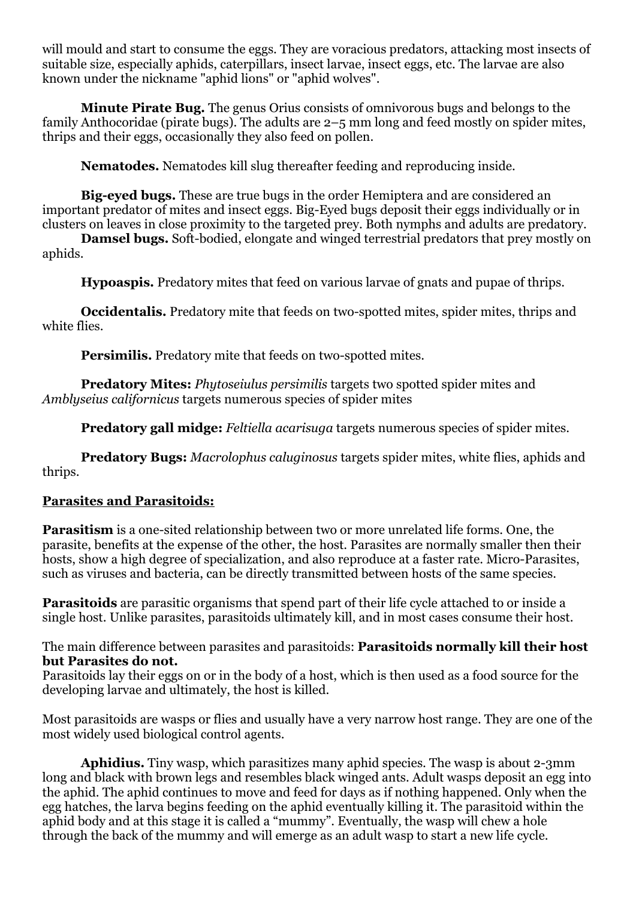will mould and start to consume the eggs. They are voracious predators, attacking most insects of suitable size, especially aphids, caterpillars, insect larvae, insect eggs, etc. The larvae are also known under the nickname "aphid lions" or "aphid wolves".

**Minute Pirate Bug.** The genus Orius consists of omnivorous bugs and belongs to the family Anthocoridae (pirate bugs). The adults are 2–5 mm long and feed mostly on spider mites, thrips and their eggs, occasionally they also feed on pollen.

**Nematodes.** Nematodes kill slug thereafter feeding and reproducing inside.

**Big-eyed bugs.** These are true bugs in the order Hemiptera and are considered an important predator of mites and insect eggs. Big-Eyed bugs deposit their eggs individually or in clusters on leaves in close proximity to the targeted prey. Both nymphs and adults are predatory.

**Damsel bugs.** Soft-bodied, elongate and winged terrestrial predators that prey mostly on aphids.

**Hypoaspis.** Predatory mites that feed on various larvae of gnats and pupae of thrips.

**Occidentalis.** Predatory mite that feeds on two-spotted mites, spider mites, thrips and white flies.

**Persimilis.** Predatory mite that feeds on two-spotted mites.

**Predatory Mites:** *Phytoseiulus persimilis* targets two spotted spider mites and *Amblyseius californicus* targets numerous species of spider mites

**Predatory gall midge:** *Feltiella acarisuga* targets numerous species of spider mites.

**Predatory Bugs:** *Macrolophus caluginosus* targets spider mites, white flies, aphids and thrips.

## **Parasites and Parasitoids:**

**Parasitism** is a one-sited relationship between two or more unrelated life forms. One, the parasite, benefits at the expense of the other, the host. Parasites are normally smaller then their hosts, show a high degree of specialization, and also reproduce at a faster rate. Micro-Parasites, such as viruses and bacteria, can be directly transmitted between hosts of the same species.

**Parasitoids** are parasitic organisms that spend part of their life cycle attached to or inside a single host. Unlike parasites, parasitoids ultimately kill, and in most cases consume their host.

The main difference between parasites and parasitoids: **Parasitoids normally kill their host but Parasites do not.**

Parasitoids lay their eggs on or in the body of a host, which is then used as a food source for the developing larvae and ultimately, the host is killed.

Most parasitoids are wasps or flies and usually have a very narrow host range. They are one of the most widely used biological control agents.

**Aphidius.** Tiny wasp, which parasitizes many aphid species. The wasp is about 2-3mm long and black with brown legs and resembles black winged ants. Adult wasps deposit an egg into the aphid. The aphid continues to move and feed for days as if nothing happened. Only when the egg hatches, the larva begins feeding on the aphid eventually killing it. The parasitoid within the aphid body and at this stage it is called a "mummy". Eventually, the wasp will chew a hole through the back of the mummy and will emerge as an adult wasp to start a new life cycle.